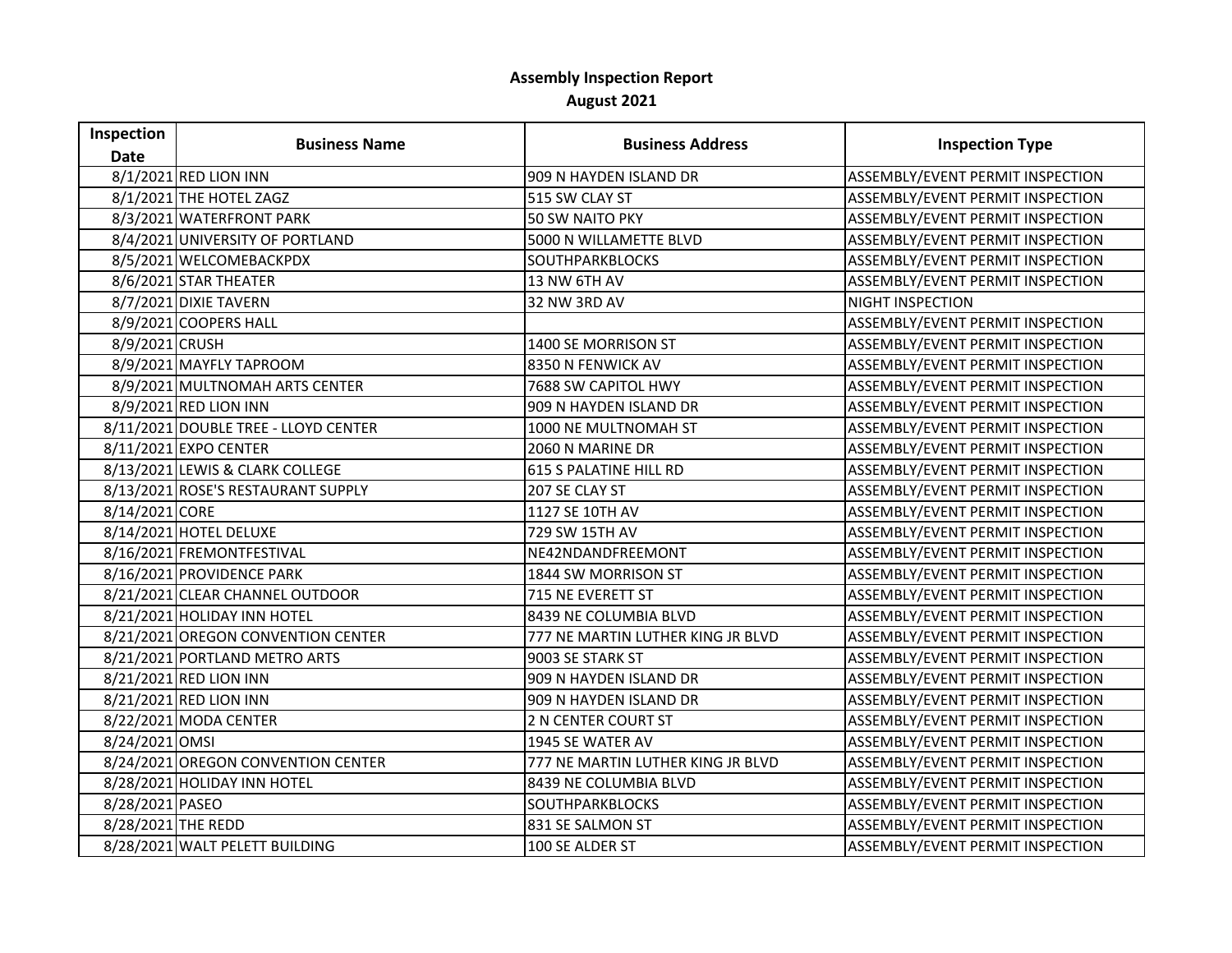## **Assembly Inspection Report August 2021**

| Inspection         | <b>Business Name</b>                 | <b>Business Address</b>           | <b>Inspection Type</b>           |
|--------------------|--------------------------------------|-----------------------------------|----------------------------------|
| <b>Date</b>        |                                      |                                   |                                  |
|                    | 8/1/2021 RED LION INN                | 909 N HAYDEN ISLAND DR            | ASSEMBLY/EVENT PERMIT INSPECTION |
|                    | 8/1/2021 THE HOTEL ZAGZ              | 515 SW CLAY ST                    | ASSEMBLY/EVENT PERMIT INSPECTION |
|                    | 8/3/2021 WATERFRONT PARK             | <b>50 SW NAITO PKY</b>            | ASSEMBLY/EVENT PERMIT INSPECTION |
|                    | 8/4/2021 UNIVERSITY OF PORTLAND      | 5000 N WILLAMETTE BLVD            | ASSEMBLY/EVENT PERMIT INSPECTION |
|                    | 8/5/2021 WELCOMEBACKPDX              | <b>SOUTHPARKBLOCKS</b>            | ASSEMBLY/EVENT PERMIT INSPECTION |
|                    | 8/6/2021 STAR THEATER                | 13 NW 6TH AV                      | ASSEMBLY/EVENT PERMIT INSPECTION |
|                    | 8/7/2021 DIXIE TAVERN                | 32 NW 3RD AV                      | <b>NIGHT INSPECTION</b>          |
|                    | 8/9/2021 COOPERS HALL                |                                   | ASSEMBLY/EVENT PERMIT INSPECTION |
| 8/9/2021 CRUSH     |                                      | 1400 SE MORRISON ST               | ASSEMBLY/EVENT PERMIT INSPECTION |
|                    | 8/9/2021 MAYFLY TAPROOM              | 8350 N FENWICK AV                 | ASSEMBLY/EVENT PERMIT INSPECTION |
|                    | 8/9/2021 MULTNOMAH ARTS CENTER       | 7688 SW CAPITOL HWY               | ASSEMBLY/EVENT PERMIT INSPECTION |
|                    | 8/9/2021 RED LION INN                | 909 N HAYDEN ISLAND DR            | ASSEMBLY/EVENT PERMIT INSPECTION |
|                    | 8/11/2021 DOUBLE TREE - LLOYD CENTER | 1000 NE MULTNOMAH ST              | ASSEMBLY/EVENT PERMIT INSPECTION |
|                    | 8/11/2021 EXPO CENTER                | 2060 N MARINE DR                  | ASSEMBLY/EVENT PERMIT INSPECTION |
|                    | 8/13/2021 LEWIS & CLARK COLLEGE      | <b>615 S PALATINE HILL RD</b>     | ASSEMBLY/EVENT PERMIT INSPECTION |
|                    | 8/13/2021 ROSE'S RESTAURANT SUPPLY   | 207 SE CLAY ST                    | ASSEMBLY/EVENT PERMIT INSPECTION |
| 8/14/2021 CORE     |                                      | 1127 SE 10TH AV                   | ASSEMBLY/EVENT PERMIT INSPECTION |
|                    | 8/14/2021 HOTEL DELUXE               | 729 SW 15TH AV                    | ASSEMBLY/EVENT PERMIT INSPECTION |
|                    | 8/16/2021 FREMONTFESTIVAL            | NE42NDANDFREEMONT                 | ASSEMBLY/EVENT PERMIT INSPECTION |
|                    | 8/16/2021 PROVIDENCE PARK            | 1844 SW MORRISON ST               | ASSEMBLY/EVENT PERMIT INSPECTION |
|                    | 8/21/2021 CLEAR CHANNEL OUTDOOR      | 715 NE EVERETT ST                 | ASSEMBLY/EVENT PERMIT INSPECTION |
|                    | 8/21/2021 HOLIDAY INN HOTEL          | 8439 NE COLUMBIA BLVD             | ASSEMBLY/EVENT PERMIT INSPECTION |
|                    | 8/21/2021 OREGON CONVENTION CENTER   | 777 NE MARTIN LUTHER KING JR BLVD | ASSEMBLY/EVENT PERMIT INSPECTION |
|                    | 8/21/2021 PORTLAND METRO ARTS        | 9003 SE STARK ST                  | ASSEMBLY/EVENT PERMIT INSPECTION |
|                    | 8/21/2021 RED LION INN               | 909 N HAYDEN ISLAND DR            | ASSEMBLY/EVENT PERMIT INSPECTION |
|                    | 8/21/2021 RED LION INN               | 909 N HAYDEN ISLAND DR            | ASSEMBLY/EVENT PERMIT INSPECTION |
|                    | 8/22/2021 MODA CENTER                | 2 N CENTER COURT ST               | ASSEMBLY/EVENT PERMIT INSPECTION |
| 8/24/2021 OMSI     |                                      | 1945 SE WATER AV                  | ASSEMBLY/EVENT PERMIT INSPECTION |
|                    | 8/24/2021 OREGON CONVENTION CENTER   | 777 NE MARTIN LUTHER KING JR BLVD | ASSEMBLY/EVENT PERMIT INSPECTION |
|                    | 8/28/2021 HOLIDAY INN HOTEL          | 8439 NE COLUMBIA BLVD             | ASSEMBLY/EVENT PERMIT INSPECTION |
| 8/28/2021 PASEO    |                                      | <b>SOUTHPARKBLOCKS</b>            | ASSEMBLY/EVENT PERMIT INSPECTION |
| 8/28/2021 THE REDD |                                      | 831 SE SALMON ST                  | ASSEMBLY/EVENT PERMIT INSPECTION |
|                    | 8/28/2021 WALT PELETT BUILDING       | 100 SE ALDER ST                   | ASSEMBLY/EVENT PERMIT INSPECTION |